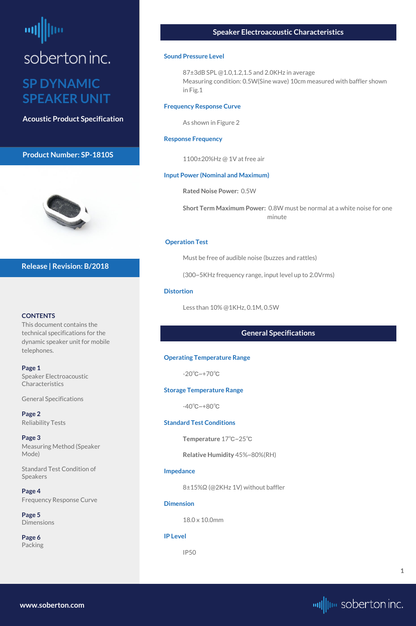# <span id="page-0-0"></span>soberton inc.

### **SP DYNAMIC SPEAKER UNIT**

**Acoustic Product Specification**

#### **Product Number: SP-1810S**



#### **CONTENTS**

**Page 1** Speaker Electroacoustic **Characteristics** 

This document contains the technical specifications for the dynamic speaker unit for mobile telephones.

**[Page 5](#page-4-0) [Dimensions](#page-4-0)** 

General Specifications

**[Page 2](#page-1-0)** [Reliability Tests](#page-1-0)

**[Page 3](#page-2-0)** [Measuring Method \(Speaker](#page-2-0)  [Mode\)](#page-2-0)

[Standard Test Condition of](#page-2-0) 

[Speakers](#page-2-0)

**[Page 4](#page-3-0)** [Frequency Response Curve](#page-3-0)

**[Page 6](#page-5-0)** [Packing](#page-5-0)

#### **Release | Revision: B/2018**

#### **Speaker Electroacoustic Characteristics**

#### **Sound Pressure Level**

87±3dB SPL @1.0,1.2,1.5 and 2.0KHz in average Measuring condition: 0.5W(Sine wave) 10cm measured with baffler shown in Fig.1

#### **Frequency Response Curve**

As shown in Figure 2

#### **Response Frequency**

1100±20%Hz @ 1V at free air

#### **Input Power (Nominal and Maximum)**

**Rated Noise Power:** 0.5W

**Short Term Maximum Power:** 0.8W must be normal at a white noise for one minute

#### **Operation Test**

Must be free of audible noise (buzzes and rattles)

(300~5KHz frequency range, input level up to 2.0Vrms)

#### **Distortion**

Less than 10% @1KHz, 0.1M, 0.5W

#### **General Specifications**

#### **Operating Temperature Range**

-20℃~+70℃

#### **Storage Temperature Range**

-40℃~+80℃

#### **Standard Test Conditions**

**Temperature** 17℃~25℃

**Relative Humidity** 45%~80%(RH)

#### **Impedance**

8±15%Ω (@2KHz 1V) without baffler

**Dimension** 

18.0 x 10.0mm

**IP Level**

IP50

**[www.soberton.com](http://www.soberton.com)**



**1**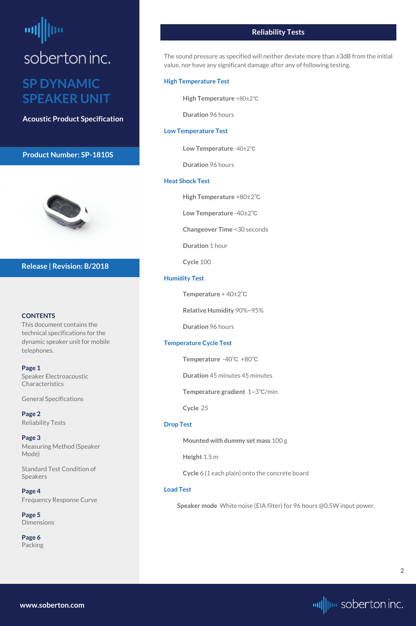# <span id="page-1-0"></span>soberton inc. **SP DYNAMIC**

## **SPEAKER UNIT**

**Acoustic Product Specification**

#### **Product Number: SP-1810S**



#### **CONTENTS**

**[Page 1](#page-0-0)** [Speaker Electroacoustic](#page-0-0)  **Characteristics** 

This document contains the technical specifications for the dynamic speaker unit for mobile telephones.

**[Page 5](#page-4-0) [Dimensions](#page-4-0)** 

[General S](#page-0-0)pecifications

**Page 2** Reliability Tests

**[Page 3](#page-2-0)** [Measuring Method \(Speaker](#page-2-0)  [Mode\)](#page-2-0)

[Standard Test Condition of](#page-2-0) 

[Speakers](#page-2-0)

#### **[Page 4](#page-3-0)** [Frequency Response Curve](#page-3-0)

**[Page 6](#page-5-0)** [Packing](#page-5-0)

#### **Release | Revision: B/2018**

#### **Reliability Tests**

The sound pressure as specified will neither deviate more than ±3dB from the initial value, nor have any significant damage after any of following testing.

#### **High Temperature Test**

**High Temperature** +80±2℃

**Duration** 96 hours

#### **Low Temperature Test**

**Low Temperature** -40±2℃

**Duration** 96 hours

#### **Heat Shock Test**

**High Temperature** +80±2℃

**Low Temperature** -40±2℃

**Changeover Time** <30 seconds

**Duration** 1 hour

**Cycle** 100

#### **Humidity Test**

**Temperature** + 40±2℃

**Relative Humidity** 90%~95%

**Duration** 96 hours

#### **Temperature Cycle Test**

**Temperature** -40℃ +80℃

**Duration** 45 minutes 45 minutes

**Temperature gradient** 1~3℃/min

**Cycle** 25

#### **Drop Test**

**Mounted with dummy set mass** 100 g

**Height** 1.5 m

**Cycle** 6 (1 each plain) onto the concrete board

#### **Load Test**

**Speaker mode** White noise (EIA filter) for 96 hours @0.5W input power.

**[www.soberton.com](http://www.soberton.com)**

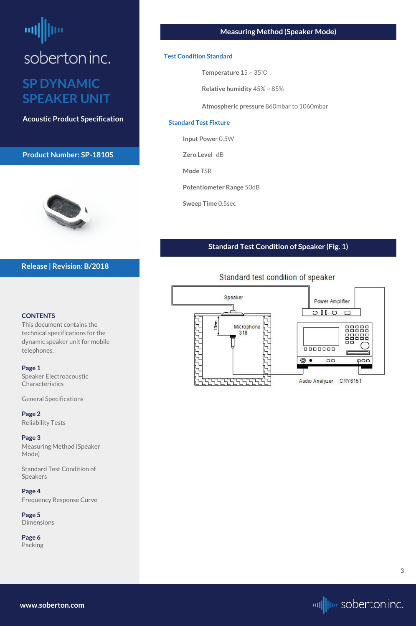## <span id="page-2-0"></span>soberton inc. **SP DYNAMIC SPEAKER UNIT**

**Acoustic Product Specification**

#### **Product Number: SP-1810S**



#### **CONTENTS**

[Speaker Electroacoustic](#page-0-0)  **Characteristics** 

This document contains the technical specifications for the dynamic speaker unit for mobile telephones.

#### **[Page 1](#page-0-0)**

**[Page 5](#page-4-0) [Dimensions](#page-4-0)** 

[General S](#page-0-0)pecifications

**[Page 2](#page-1-0)** [Reliability Tests](#page-1-0)

#### **Page 3**

Measuring Method (Speaker Mode)

Standard Test Condition of

Speakers

**[Page 4](#page-3-0)** [Frequency Response Curve](#page-3-0)

**[Page 6](#page-5-0)** [Packing](#page-5-0)

#### **Release | Revision: B/2018**

#### **Measuring Method (Speaker Mode)**

#### **Test Condition Standard**

**Temperature** 15 ~ 35℃

**Relative humidity** 45% ~ 85%

**Atmospheric pressure** 860mbar to 1060mbar

#### **Standard Test Fixture**

**Input Powe**r 0.5W

**Zero Level** -dB

**Mode** TSR

**Potentiometer Range** 50dB

**Sweep Time** 0.5sec

#### **Standard Test Condition of Speaker (Fig. 1)**



#### Standard test condition of speaker

**[www.soberton.com](http://www.soberton.com)**

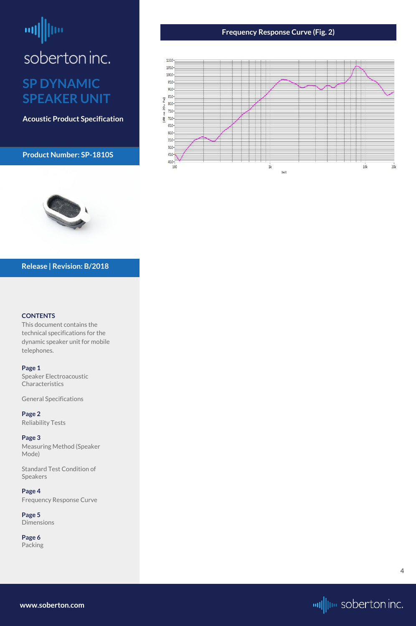## <span id="page-3-0"></span>뻬 soberton inc. **SP DYNAMIC**

**SPEAKER UNIT**

**Acoustic Product Specification**

#### **Product Number: SP-1810S**

#### **CONTENTS**

[Speaker Electroacoustic](#page-0-0)  **Characteristics** 

This document contains the technical specifications for the dynamic speaker unit for mobile telephones.

#### **[Page 1](#page-0-0)**

**[Page 5](#page-4-0) [Dimensions](#page-4-0)** 

[General S](#page-0-0)pecifications

**[Page 2](#page-1-0)** [Reliability Tests](#page-1-0)

#### **[Page 3](#page-2-0)**

[Measuring Method \(Speaker](#page-2-0)  [Mode\)](#page-2-0)

[Standard Test Condition of](#page-2-0) 

[Speakers](#page-2-0)

**Page 4** Frequency Response Curve

**[Page 6](#page-5-0)** [Packing](#page-5-0)

#### **Release | Revision: B/2018**

#### **Frequency Response Curve (Fig. 2)**





**[www.soberton.com](http://www.soberton.com)**



**4**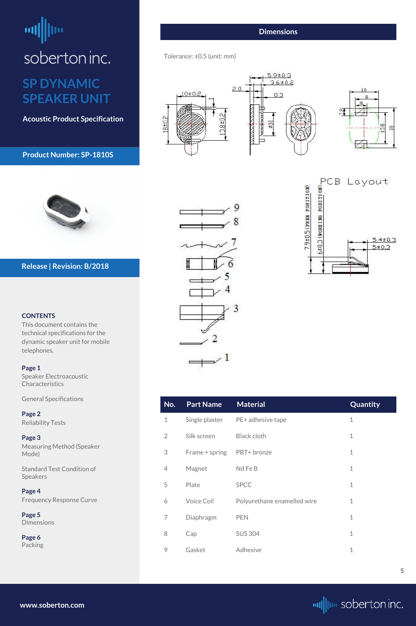## <span id="page-4-0"></span>шļ soberton inc. **SP DYNAMIC**

**SPEAKER UNIT**

## **Acoustic Product Specification**

#### **Product Number: SP-1810S**



#### **CONTENTS**

[Speaker Electroacoustic](#page-0-0)  **Characteristics** 

This document contains the technical specifications for the dynamic speaker unit for mobile telephones.

#### **[Page 1](#page-0-0)**

**Page 5 Dimensions** 

[General S](#page-0-0)pecifications

**[Page 2](#page-1-0)** [Reliability Tests](#page-1-0)

**[Page 3](#page-2-0)** [Measuring Method \(Speaker](#page-2-0)  [Mode\)](#page-2-0)

[Standard Test Condition of](#page-2-0) 

# 3  $\rightarrow^{-1}$

## PCB Layout<br>  $\frac{1}{2}$ <br>  $\frac{1}{2}$ <br>  $\frac{5.4 \pm 0.3}{5 \pm 0.3}$ 7.9±0.5 (FREE POSITION)  $5.4 \pm 0.3$

[Speakers](#page-2-0)

**[Page 4](#page-3-0)** [Frequency Response Curve](#page-3-0)

**[Page 6](#page-5-0)** [Packing](#page-5-0)

#### **Release | Revision: B/2018**

**[www.soberton.com](http://www.soberton.com)**



| <b>Part Name</b> | <b>Material</b> | Quantity                                                       |
|------------------|-----------------|----------------------------------------------------------------|
|                  |                 |                                                                |
| Silk screen      | Black cloth     |                                                                |
|                  |                 |                                                                |
|                  |                 | Single plaster PE+ adhesive tape<br>Frame + spring PBT+ bronze |

| $\mathcal{L}$ | Plate             | <b>SPCC</b>                 |  |
|---------------|-------------------|-----------------------------|--|
| 6             | <b>Voice Coil</b> | Polyurethane enamelled wire |  |
| 7             | Diaphragm         | <b>PEN</b>                  |  |
| 8             | Cap               | <b>SUS 304</b>              |  |
| 9             | Gasket            | Adhesive                    |  |

4 Magnet Nd Fe B 1

#### **Dimensions**

Tolerance: ±0.5 (unit: mm)